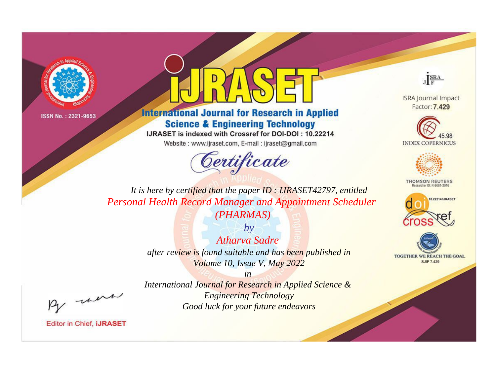



## **International Journal for Research in Applied Science & Engineering Technology**

IJRASET is indexed with Crossref for DOI-DOI: 10.22214

Website: www.ijraset.com, E-mail: ijraset@gmail.com



JERA

**ISRA Journal Impact** Factor: 7.429





**THOMSON REUTERS** 



TOGETHER WE REACH THE GOAL **SJIF 7.429** 

It is here by certified that the paper ID: IJRASET42797, entitled **Personal Health Record Manager and Appointment Scheduler** (PHARMAS)

> $by$ Atharva Sadre after review is found suitable and has been published in Volume 10, Issue V, May 2022

were

International Journal for Research in Applied Science & **Engineering Technology** Good luck for your future endeavors

 $in$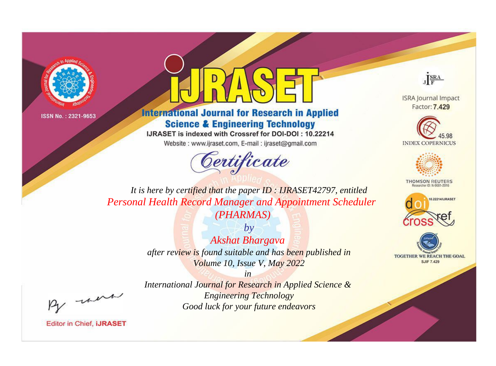



## **International Journal for Research in Applied Science & Engineering Technology**

IJRASET is indexed with Crossref for DOI-DOI: 10.22214

Website: www.ijraset.com, E-mail: ijraset@gmail.com



JERA

**ISRA Journal Impact** Factor: 7.429





**THOMSON REUTERS** 



TOGETHER WE REACH THE GOAL **SJIF 7.429** 

It is here by certified that the paper ID: IJRASET42797, entitled **Personal Health Record Manager and Appointment Scheduler** (PHARMAS)

> $by$ **Akshat Bhargava** after review is found suitable and has been published in Volume 10, Issue V, May 2022

were

International Journal for Research in Applied Science & **Engineering Technology** Good luck for your future endeavors

 $in$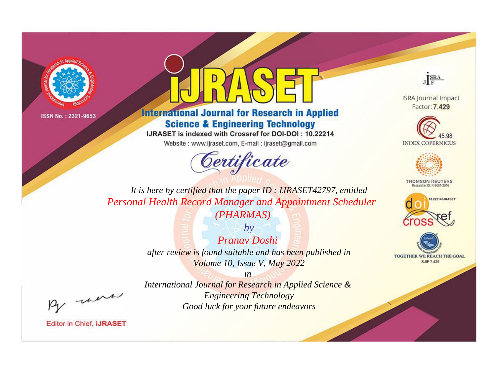



## **International Journal for Research in Applied Science & Engineering Technology**

IJRASET is indexed with Crossref for DOI-DOI: 10.22214

Website: www.ijraset.com, E-mail: ijraset@gmail.com



JERA

**ISRA Journal Impact** Factor: 7.429





**THOMSON REUTERS** 



TOGETHER WE REACH THE GOAL **SJIF 7.429** 

It is here by certified that the paper ID: IJRASET42797, entitled **Personal Health Record Manager and Appointment Scheduler** (PHARMAS)

> $by$ Pranav Doshi after review is found suitable and has been published in Volume 10, Issue V, May 2022

> $in$ International Journal for Research in Applied Science & **Engineering Technology** Good luck for your future endeavors

were